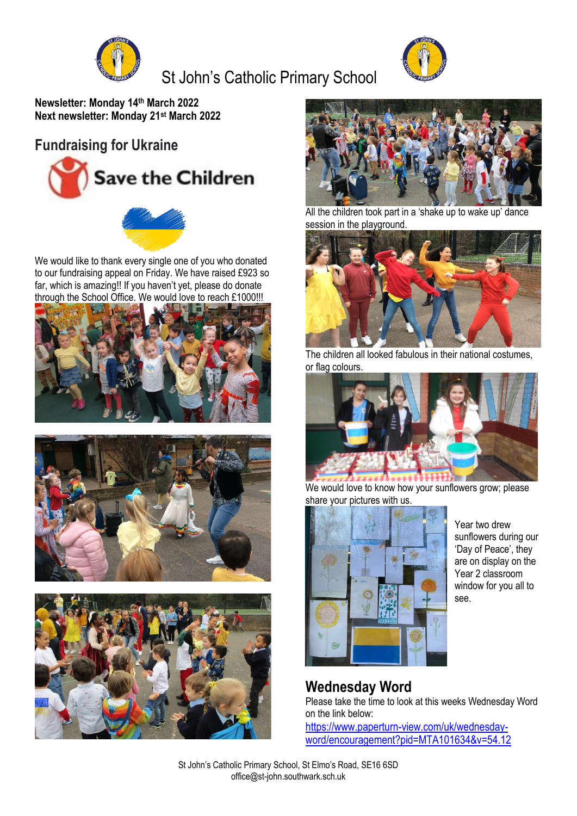

# St John's Catholic Primary School



**Newsletter: Monday 14th March 2022 Next newsletter: Monday 21st March 2022**

#### **Fundraising for Ukraine**





We would like to thank every single one of you who donated to our fundraising appeal on Friday. We have raised £923 so far, which is amazing!! If you haven't yet, please do donate through the School Office. We would love to reach £1000!!!









All the children took part in a 'shake up to wake up' dance session in the playground.



The children all looked fabulous in their national costumes, or flag colours.



We would love to know how your sunflowers grow; please share your pictures with us.



Year two drew sunflowers during our 'Day of Peace', they are on display on the Year 2 classroom window for you all to see.

#### **Wednesday Word**

Please take the time to look at this weeks Wednesday Word on the link below:

[https://www.paperturn-view.com/uk/wednesday](https://www.paperturn-view.com/uk/wednesday-word/encouragement?pid=MTA101634&v=54.12)[word/encouragement?pid=MTA101634&v=54.12](https://www.paperturn-view.com/uk/wednesday-word/encouragement?pid=MTA101634&v=54.12)